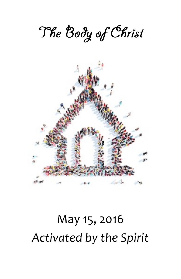

# May 15, 2016 *Activated by the Spirit*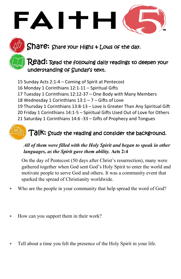Share: Share your Highs + Lows of the day.

### $\mathsf{Read} \mathord{:}$  Read the following daily readings to deepen your understanding of Sunday's text.

- 15 Sunday Acts 2:1-4 Coming of Spirit at Pentecost
- 16 Monday 1 Corinthians 12:1-11 Spiritual Gifts

FAITH

- 17 Tuesday 1 Corinthians 12:12-37 One Body with Many Members
- 18 Wednesday 1 Corinthians 13:1 7 Gifts of Love
- 19 Thursday 1 Corinthians 13:8-13 Love is Greater Than Any Spiritual Gift
- 20 Friday 1 Corinthians 14:1-5 Spiritual Gifts Used Out of Love for Others
- 21 Saturday 1 Corinthians 14:6 -33 Gifts of Prophecy and Tongues

## Talk: Study the reading and consider the background.

#### *All of them were filled with the Holy Spirit and began to speak in other languages, as the Spirit gave them ability.* **Acts 2:4**

On the day of Pentecost (50 days after Christ's resurrection), many were gathered together when God sent God's Holy Spirit to enter the world and motivate people to serve God and others. It was a community event that sparked the spread of Christianity worldwide.

- Who are the people in your community that help spread the word of God?
- How can you support them in their work?
- Tell about a time you felt the presence of the Holy Spirit in your life.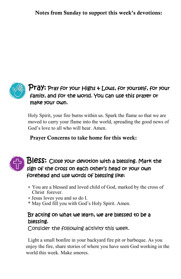Notes from Sunday to support this week's devotions:



#### $\mathsf{Pra}\textsf{y:}$  Pray for your Highs  $\ast$  Lows, for yourself, for your family, and for the world. You can use this prayer or make your own.

Holy Spirit, your fire burns within us. Spark the flame so that we are moved to carry your flame into the world, spreading the good news of God's love to all who will hear. Amen.

Prayer Concerns to take home for this week:



#### Bless: Close your devotion with a blessing. Mark the sign of the cross on each other's head or your own forehead and use words of blessing like:

- You are a blessed and loved child of God, marked by the cross of Christ forever.
- Jesus loves you and so do I.
- \* May God fill you with God's Holy Spirit. Amen.

#### By acting on what we learn, we are blessed to be a blessing.

Consider the following activity this week.

Light a small bonfire in your backyard fire pit or barbeque. As you enjoy the fire, share stories of where you have seen God working in the world this week. Make smores.